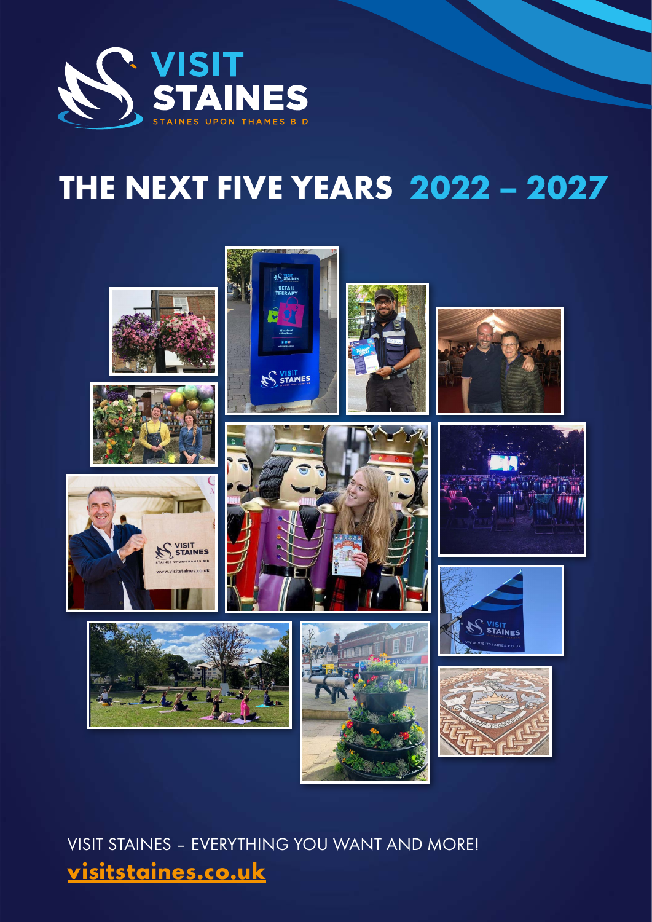

# **THE NEXT FIVE YEARS 2022 – 2027**



VISIT STAINES – EVERYTHING YOU WANT AND MORE! **[visitstaines.co.uk](https://www.visitstaines.co.uk/)**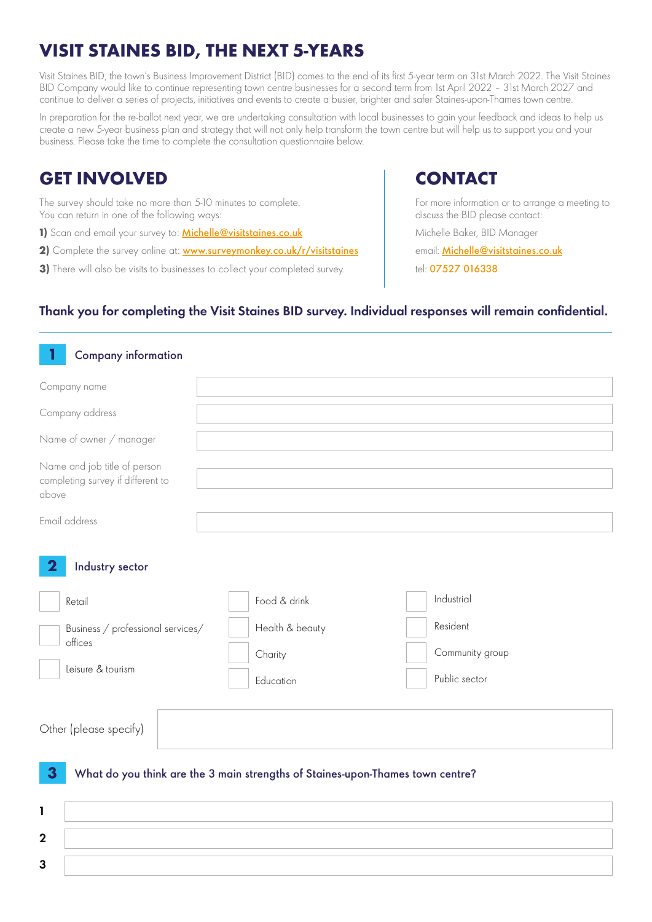# **VISIT STAINES BID, THE NEXT 5-YEARS**

Visit Staines BID, the town's Business Improvement District (BID) comes to the end of its first 5-year term on 31st March 2022. The Visit Staines BID Company would like to continue representing town centre businesses for a second term from 1st April 2022 – 31st March 2027 and continue to deliver a series of projects, initiatives and events to create a busier, brighter and safer Staines-upon-Thames town centre.

In preparation for the re-ballot next year, we are undertaking consultation with local businesses to gain your feedback and ideas to help us create a new 5-year business plan and strategy that will not only help transform the town centre but will help us to support you and your business. Please take the time to complete the consultation questionnaire below.

## **GET INVOLVED CONTACT**

The survey should take no more than 5-10 minutes to complete. You can return in one of the following ways:

1) Scan and email your survey to: **[Michelle@visitstaines.co.uk](mailto:Michelle%40visitstaines.co.uk?subject=)** 

2) Complete the survey online at: **[www.surveymonkey.co.uk/r/visitstaines](https://www.surveymonkey.co.uk/r/visitstaines)** 

**3)** There will also be visits to businesses to collect your completed survey.

For more information or to arrange a meeting to discuss the BID please contact:

Michelle Baker, BID Manager

email: [Michelle@visitstaines.co.uk](mailto:Michelle%40visitstaines.co.uk?subject=)

tel: 07527 016338

#### Thank you for completing the Visit Staines BID survey. Individual responses will remain confidential.

| <b>Company information</b>                                                 |                                                                                |                             |
|----------------------------------------------------------------------------|--------------------------------------------------------------------------------|-----------------------------|
| Company name                                                               |                                                                                |                             |
| Company address                                                            |                                                                                |                             |
| Name of owner / manager                                                    |                                                                                |                             |
| Name and job title of person<br>completing survey if different to<br>above |                                                                                |                             |
| Email address                                                              |                                                                                |                             |
| Industry sector<br>Retail                                                  | Food & drink                                                                   | Industrial                  |
| Business $/$ professional services $/$<br>offices<br>Leisure & tourism     | Health & beauty<br>Charity                                                     | Resident<br>Community group |
|                                                                            | Education                                                                      | Public sector               |
| Other (please specify)                                                     |                                                                                |                             |
| 3<br>1                                                                     | What do you think are the 3 main strengths of Staines-upon-Thames town centre? |                             |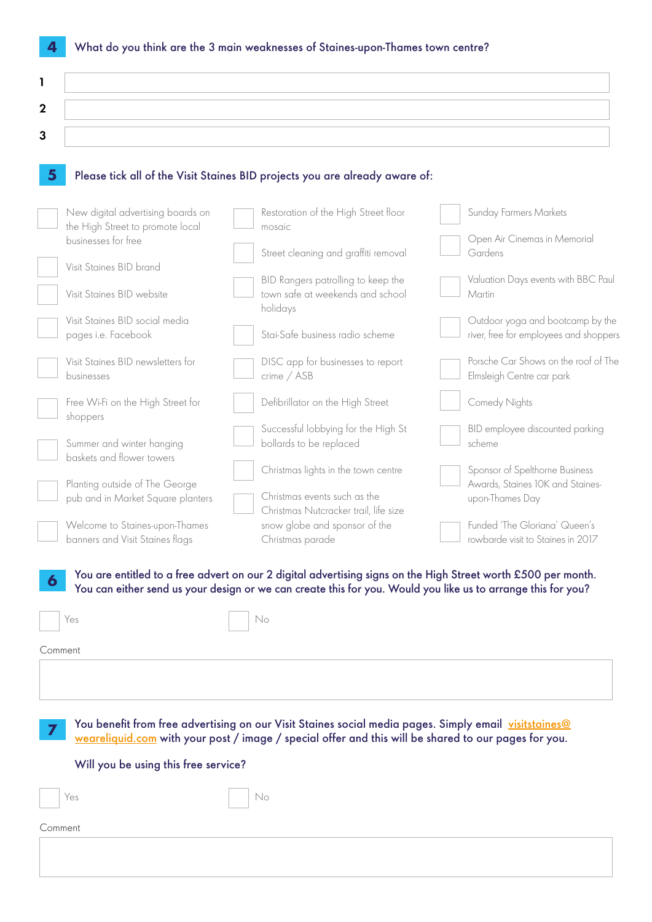|  | 4 What do you think are the 3 main weaknesses of Staines-upon-Thames town centre? |
|--|-----------------------------------------------------------------------------------|
|--|-----------------------------------------------------------------------------------|

| ∼       |  |
|---------|--|
| ◠<br>ъ. |  |
|         |  |

#### **5** Please tick all of the Visit Staines BID projects you are already aware of:

| New digital advertising boards on                      | Restoration of the High Street floor                                                                                                                                                                                          | Sunday Farmers Markets                                             |
|--------------------------------------------------------|-------------------------------------------------------------------------------------------------------------------------------------------------------------------------------------------------------------------------------|--------------------------------------------------------------------|
| the High Street to promote local                       | mosaic                                                                                                                                                                                                                        |                                                                    |
| businesses for free                                    | Street cleaning and graffiti removal                                                                                                                                                                                          | Open Air Cinemas in Memorial<br>Gardens                            |
| Visit Staines BID brand                                |                                                                                                                                                                                                                               |                                                                    |
| Visit Staines BID website                              | BID Rangers patrolling to keep the<br>town safe at weekends and school                                                                                                                                                        | Valuation Days events with BBC Paul<br>Martin                      |
| Visit Staines BID social media                         | holidays                                                                                                                                                                                                                      | Outdoor yoga and bootcamp by the                                   |
| pages i.e. Facebook                                    | Stai-Safe business radio scheme                                                                                                                                                                                               | river, free for employees and shoppers                             |
| Visit Staines BID newsletters for<br>businesses        | DISC app for businesses to report<br>crime / ASB                                                                                                                                                                              | Porsche Car Shows on the roof of The<br>Elmsleigh Centre car park  |
| Free Wi-Fi on the High Street for<br>shoppers          | Defibrillator on the High Street                                                                                                                                                                                              | Comedy Nights                                                      |
| Summer and winter hanging<br>baskets and flower towers | Successful lobbying for the High St<br>bollards to be replaced                                                                                                                                                                | BID employee discounted parking<br>scheme                          |
| Planting outside of The George                         | Christmas lights in the town centre                                                                                                                                                                                           | Sponsor of Spelthorne Business<br>Awards, Staines 10K and Staines- |
| pub and in Market Square planters                      | Christmas events such as the<br>Christmas Nutcracker trail, life size                                                                                                                                                         | upon-Thames Day                                                    |
| Welcome to Staines-upon-Thames                         | snow globe and sponsor of the                                                                                                                                                                                                 | Funded 'The Gloriana' Queen's<br>rowbarde visit to Staines in 2017 |
| banners and Visit Staines flags                        | Christmas parade                                                                                                                                                                                                              |                                                                    |
| 6                                                      | You are entitled to a free advert on our 2 digital advertising signs on the High Street worth £500 per month.<br>You can either send us your design or we can create this for you. Would you like us to arrange this for you? |                                                                    |
| Yes                                                    | No                                                                                                                                                                                                                            |                                                                    |
| Comment                                                |                                                                                                                                                                                                                               |                                                                    |
|                                                        |                                                                                                                                                                                                                               |                                                                    |
|                                                        |                                                                                                                                                                                                                               |                                                                    |

**7** You benefit from free advertising on our Visit Staines social media pages. Simply email [visitstaines@](mailto:visitstaines%40weareliquid.com?subject=) [weareliquid.com](mailto:visitstaines%40weareliquid.com?subject=) with your post / image / special offer and this will be shared to our pages for you.

### Will you be using this free service?

No

Comment

Yes